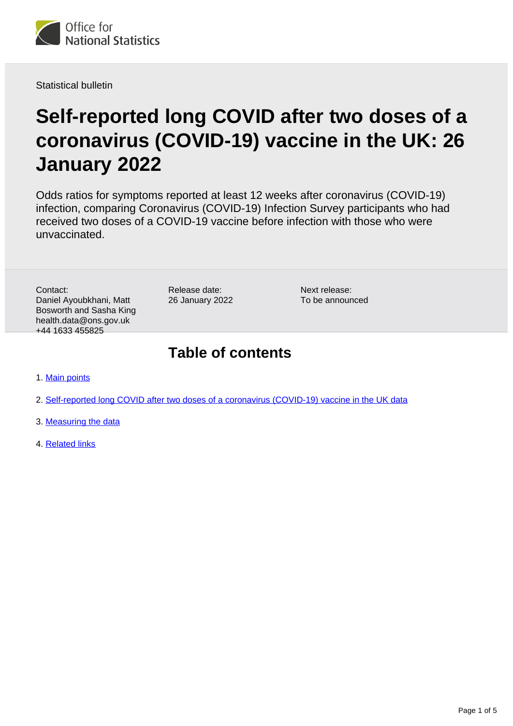

Statistical bulletin

# **Self-reported long COVID after two doses of a coronavirus (COVID-19) vaccine in the UK: 26 January 2022**

Odds ratios for symptoms reported at least 12 weeks after coronavirus (COVID-19) infection, comparing Coronavirus (COVID-19) Infection Survey participants who had received two doses of a COVID-19 vaccine before infection with those who were unvaccinated.

Contact: Daniel Ayoubkhani, Matt Bosworth and Sasha King health.data@ons.gov.uk +44 1633 455825

Release date: 26 January 2022

Next release: To be announced

### **Table of contents**

1. [Main points](#page-1-0)

2. [Self-reported long COVID after two doses of a coronavirus \(COVID-19\) vaccine in the UK data](#page-2-0)

- 3. [Measuring the data](#page-2-1)
- 4. [Related links](#page-4-0)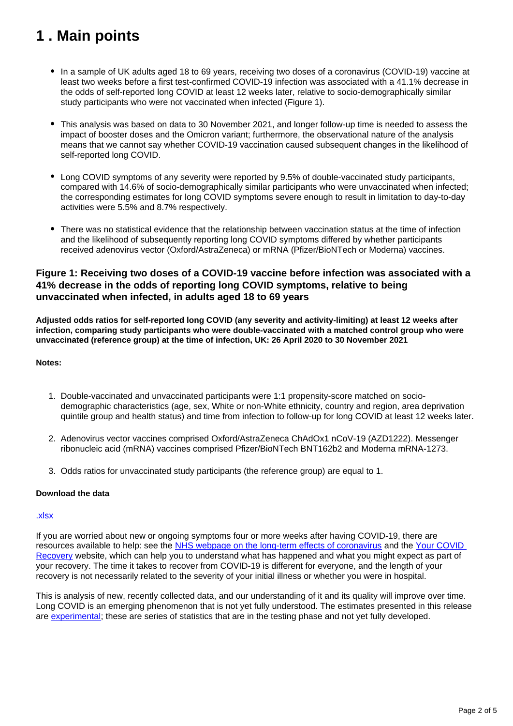## <span id="page-1-0"></span>**1 . Main points**

- In a sample of UK adults aged 18 to 69 years, receiving two doses of a coronavirus (COVID-19) vaccine at least two weeks before a first test-confirmed COVID-19 infection was associated with a 41.1% decrease in the odds of self-reported long COVID at least 12 weeks later, relative to socio-demographically similar study participants who were not vaccinated when infected (Figure 1).
- This analysis was based on data to 30 November 2021, and longer follow-up time is needed to assess the impact of booster doses and the Omicron variant; furthermore, the observational nature of the analysis means that we cannot say whether COVID-19 vaccination caused subsequent changes in the likelihood of self-reported long COVID.
- Long COVID symptoms of any severity were reported by 9.5% of double-vaccinated study participants, compared with 14.6% of socio-demographically similar participants who were unvaccinated when infected; the corresponding estimates for long COVID symptoms severe enough to result in limitation to day-to-day activities were 5.5% and 8.7% respectively.
- There was no statistical evidence that the relationship between vaccination status at the time of infection and the likelihood of subsequently reporting long COVID symptoms differed by whether participants received adenovirus vector (Oxford/AstraZeneca) or mRNA (Pfizer/BioNTech or Moderna) vaccines.

### **Figure 1: Receiving two doses of a COVID-19 vaccine before infection was associated with a 41% decrease in the odds of reporting long COVID symptoms, relative to being unvaccinated when infected, in adults aged 18 to 69 years**

**Adjusted odds ratios for self-reported long COVID (any severity and activity-limiting) at least 12 weeks after infection, comparing study participants who were double-vaccinated with a matched control group who were unvaccinated (reference group) at the time of infection, UK: 26 April 2020 to 30 November 2021**

#### **Notes:**

- 1. Double-vaccinated and unvaccinated participants were 1:1 propensity-score matched on sociodemographic characteristics (age, sex, White or non-White ethnicity, country and region, area deprivation quintile group and health status) and time from infection to follow-up for long COVID at least 12 weeks later.
- 2. Adenovirus vector vaccines comprised Oxford/AstraZeneca ChAdOx1 nCoV-19 (AZD1222). Messenger ribonucleic acid (mRNA) vaccines comprised Pfizer/BioNTech BNT162b2 and Moderna mRNA-1273.
- 3. Odds ratios for unvaccinated study participants (the reference group) are equal to 1.

#### **Download the data**

#### [.xlsx](https://www.ons.gov.uk/visualisations/dvc1768/oddsratio/datadownload.xlsx)

If you are worried about new or ongoing symptoms four or more weeks after having COVID-19, there are resources available to help: see the [NHS webpage on the long-term effects of coronavirus](https://www.nhs.uk/conditions/coronavirus-covid-19/long-term-effects-of-coronavirus-long-covid/) and the [Your COVID](https://www.yourcovidrecovery.nhs.uk/)  [Recovery](https://www.yourcovidrecovery.nhs.uk/) website, which can help you to understand what has happened and what you might expect as part of your recovery. The time it takes to recover from COVID-19 is different for everyone, and the length of your recovery is not necessarily related to the severity of your initial illness or whether you were in hospital.

This is analysis of new, recently collected data, and our understanding of it and its quality will improve over time. Long COVID is an emerging phenomenon that is not yet fully understood. The estimates presented in this release are [experimental](https://www.ons.gov.uk/methodology/methodologytopicsandstatisticalconcepts/guidetoexperimentalstatistics); these are series of statistics that are in the testing phase and not yet fully developed.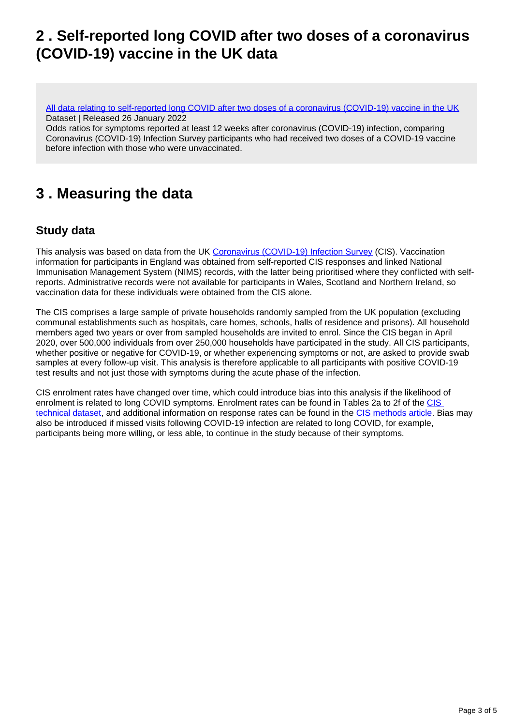### <span id="page-2-0"></span>**2 . Self-reported long COVID after two doses of a coronavirus (COVID-19) vaccine in the UK data**

[All data relating to self-reported long COVID after two doses of a coronavirus \(COVID-19\) vaccine in the UK](https://www.ons.gov.uk/peoplepopulationandcommunity/healthandsocialcare/conditionsanddiseases/datasets/selfreportedlongcovidaftertwodosesofacoronaviruscovid19vaccineintheuk) Dataset | Released 26 January 2022

Odds ratios for symptoms reported at least 12 weeks after coronavirus (COVID-19) infection, comparing Coronavirus (COVID-19) Infection Survey participants who had received two doses of a COVID-19 vaccine before infection with those who were unvaccinated.

## <span id="page-2-1"></span>**3 . Measuring the data**

### **Study data**

This analysis was based on data from the UK [Coronavirus \(COVID-19\) Infection Survey](https://www.ons.gov.uk/peoplepopulationandcommunity/healthandsocialcare/conditionsanddiseases/methodologies/covid19infectionsurveypilotmethodsandfurtherinformation) (CIS). Vaccination information for participants in England was obtained from self-reported CIS responses and linked National Immunisation Management System (NIMS) records, with the latter being prioritised where they conflicted with selfreports. Administrative records were not available for participants in Wales, Scotland and Northern Ireland, so vaccination data for these individuals were obtained from the CIS alone.

The CIS comprises a large sample of private households randomly sampled from the UK population (excluding communal establishments such as hospitals, care homes, schools, halls of residence and prisons). All household members aged two years or over from sampled households are invited to enrol. Since the CIS began in April 2020, over 500,000 individuals from over 250,000 households have participated in the study. All CIS participants, whether positive or negative for COVID-19, or whether experiencing symptoms or not, are asked to provide swab samples at every follow-up visit. This analysis is therefore applicable to all participants with positive COVID-19 test results and not just those with symptoms during the acute phase of the infection.

CIS enrolment rates have changed over time, which could introduce bias into this analysis if the likelihood of enrolment is related to long COVID symptoms. Enrolment rates can be found in Tables 2a to 2f of the [CIS](https://www.ons.gov.uk/peoplepopulationandcommunity/healthandsocialcare/conditionsanddiseases/datasets/covid19infectionsurveytechnicaldata#_blank)  [technical dataset,](https://www.ons.gov.uk/peoplepopulationandcommunity/healthandsocialcare/conditionsanddiseases/datasets/covid19infectionsurveytechnicaldata#_blank) and additional information on response rates can be found in the [CIS methods article.](https://www.ons.gov.uk/peoplepopulationandcommunity/healthandsocialcare/conditionsanddiseases/methodologies/covid19infectionsurveypilotmethodsandfurtherinformation#_blank) Bias may also be introduced if missed visits following COVID-19 infection are related to long COVID, for example, participants being more willing, or less able, to continue in the study because of their symptoms.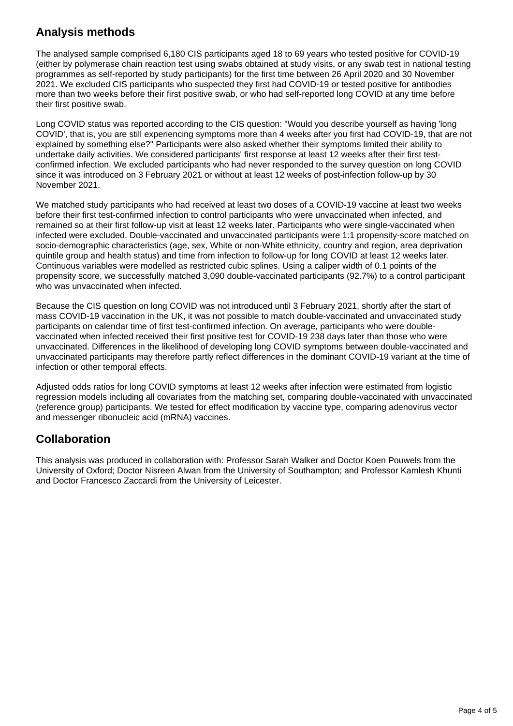### **Analysis methods**

The analysed sample comprised 6,180 CIS participants aged 18 to 69 years who tested positive for COVID-19 (either by polymerase chain reaction test using swabs obtained at study visits, or any swab test in national testing programmes as self-reported by study participants) for the first time between 26 April 2020 and 30 November 2021. We excluded CIS participants who suspected they first had COVID-19 or tested positive for antibodies more than two weeks before their first positive swab, or who had self-reported long COVID at any time before their first positive swab.

Long COVID status was reported according to the CIS question: "Would you describe yourself as having 'long COVID', that is, you are still experiencing symptoms more than 4 weeks after you first had COVID-19, that are not explained by something else?" Participants were also asked whether their symptoms limited their ability to undertake daily activities. We considered participants' first response at least 12 weeks after their first testconfirmed infection. We excluded participants who had never responded to the survey question on long COVID since it was introduced on 3 February 2021 or without at least 12 weeks of post-infection follow-up by 30 November 2021.

We matched study participants who had received at least two doses of a COVID-19 vaccine at least two weeks before their first test-confirmed infection to control participants who were unvaccinated when infected, and remained so at their first follow-up visit at least 12 weeks later. Participants who were single-vaccinated when infected were excluded. Double-vaccinated and unvaccinated participants were 1:1 propensity-score matched on socio-demographic characteristics (age, sex, White or non-White ethnicity, country and region, area deprivation quintile group and health status) and time from infection to follow-up for long COVID at least 12 weeks later. Continuous variables were modelled as restricted cubic splines. Using a caliper width of 0.1 points of the propensity score, we successfully matched 3,090 double-vaccinated participants (92.7%) to a control participant who was unvaccinated when infected.

Because the CIS question on long COVID was not introduced until 3 February 2021, shortly after the start of mass COVID-19 vaccination in the UK, it was not possible to match double-vaccinated and unvaccinated study participants on calendar time of first test-confirmed infection. On average, participants who were doublevaccinated when infected received their first positive test for COVID-19 238 days later than those who were unvaccinated. Differences in the likelihood of developing long COVID symptoms between double-vaccinated and unvaccinated participants may therefore partly reflect differences in the dominant COVID-19 variant at the time of infection or other temporal effects.

Adjusted odds ratios for long COVID symptoms at least 12 weeks after infection were estimated from logistic regression models including all covariates from the matching set, comparing double-vaccinated with unvaccinated (reference group) participants. We tested for effect modification by vaccine type, comparing adenovirus vector and messenger ribonucleic acid (mRNA) vaccines.

### **Collaboration**

This analysis was produced in collaboration with: Professor Sarah Walker and Doctor Koen Pouwels from the University of Oxford; Doctor Nisreen Alwan from the University of Southampton; and Professor Kamlesh Khunti and Doctor Francesco Zaccardi from the University of Leicester.